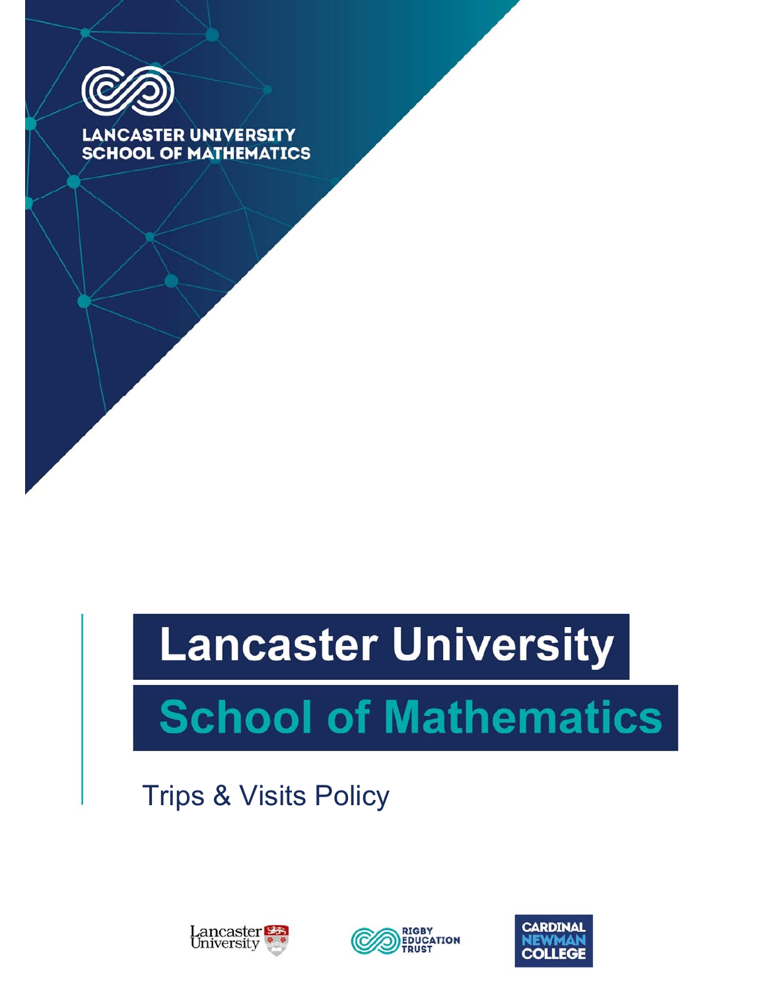

LANCASTER UNIVERSITY **SCHOOL OF MATHEMATICS** 

# **Lancaster University**

# **School of Mathematics**

Trips & Visits Policy





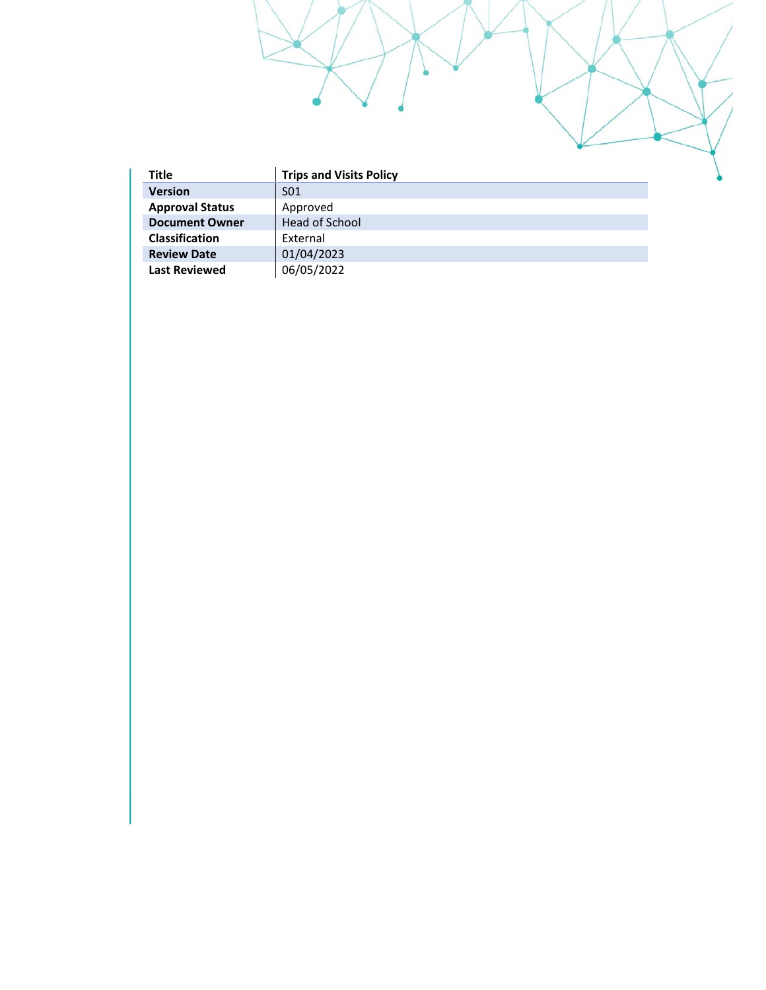| Title                  | <b>Trips and Visits Policy</b> |
|------------------------|--------------------------------|
| <b>Version</b>         | S01                            |
| <b>Approval Status</b> | Approved                       |
| <b>Document Owner</b>  | Head of School                 |
| <b>Classification</b>  | External                       |
| <b>Review Date</b>     | 01/04/2023                     |
| <b>Last Reviewed</b>   | 06/05/2022                     |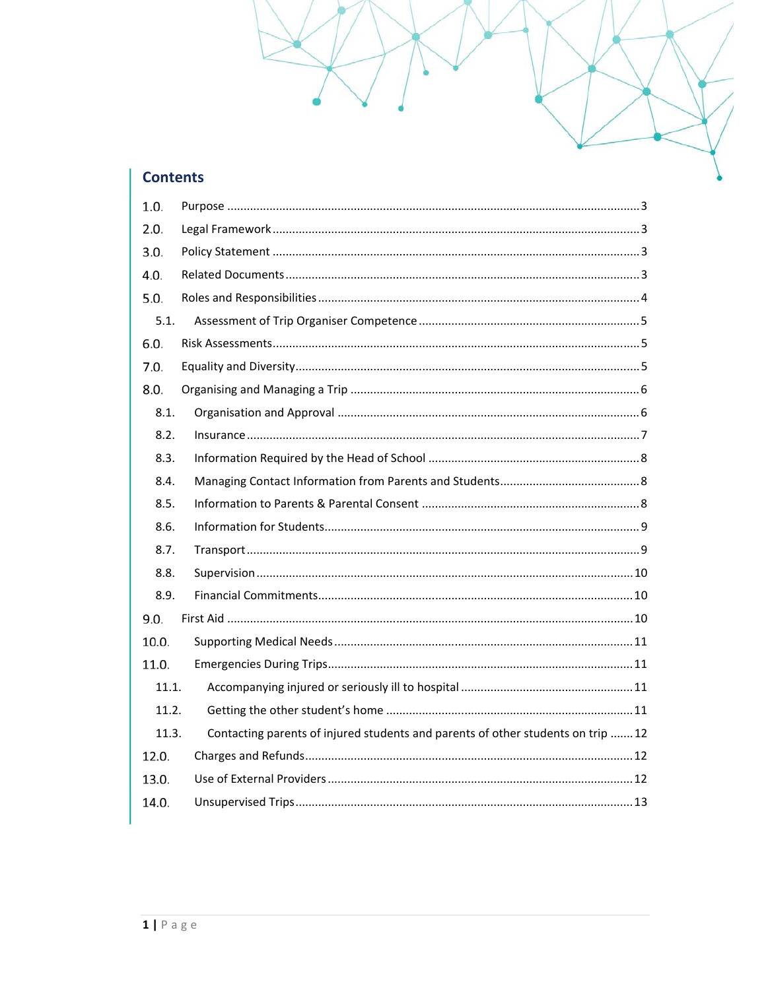# **Contents**

| 1.0.  |                                                                                  |
|-------|----------------------------------------------------------------------------------|
| 2.0.  |                                                                                  |
| 3.0.  |                                                                                  |
| 4.0.  |                                                                                  |
| 5.0.  |                                                                                  |
| 5.1.  |                                                                                  |
| 6.0.  |                                                                                  |
| 7.0.  |                                                                                  |
| 8.0.  |                                                                                  |
| 8.1.  |                                                                                  |
| 8.2.  |                                                                                  |
| 8.3.  |                                                                                  |
| 8.4.  |                                                                                  |
| 8.5.  |                                                                                  |
| 8.6.  |                                                                                  |
| 8.7.  |                                                                                  |
| 8.8.  |                                                                                  |
| 8.9.  |                                                                                  |
| 9.0.  |                                                                                  |
| 10.0. |                                                                                  |
| 11.0. |                                                                                  |
| 11.1. |                                                                                  |
| 11.2. |                                                                                  |
| 11.3. | Contacting parents of injured students and parents of other students on trip  12 |
| 12.0. |                                                                                  |
| 13.0. |                                                                                  |
| 14.0. |                                                                                  |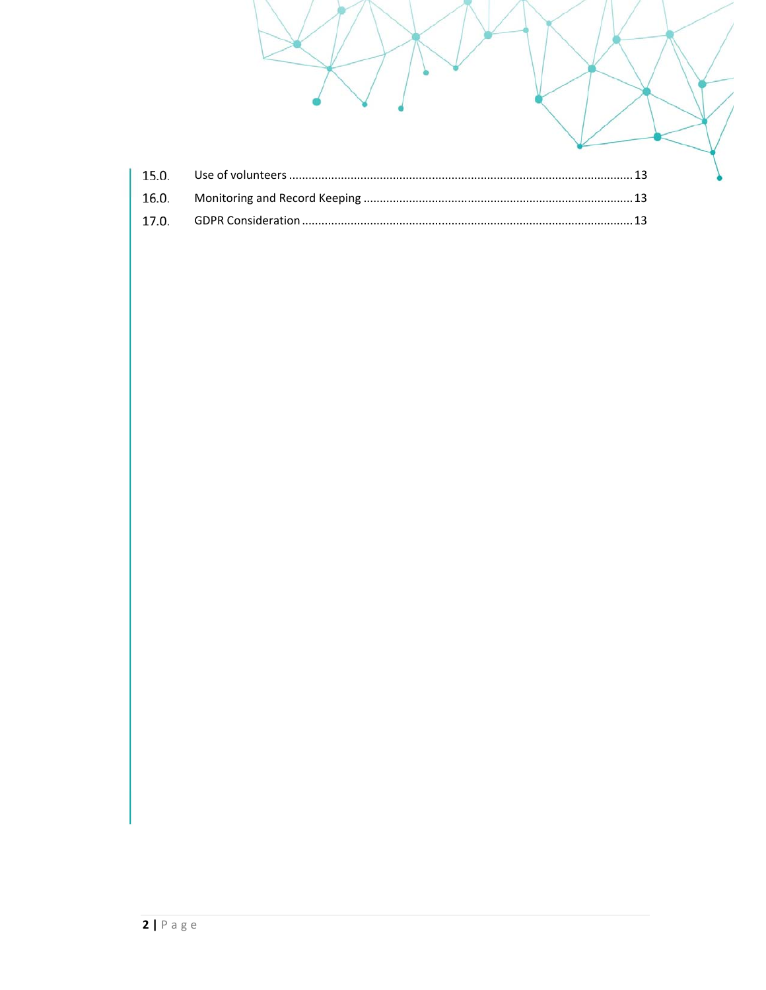| 15.0. | 13 |  |
|-------|----|--|
| 16.0. |    |  |
| 17.0. |    |  |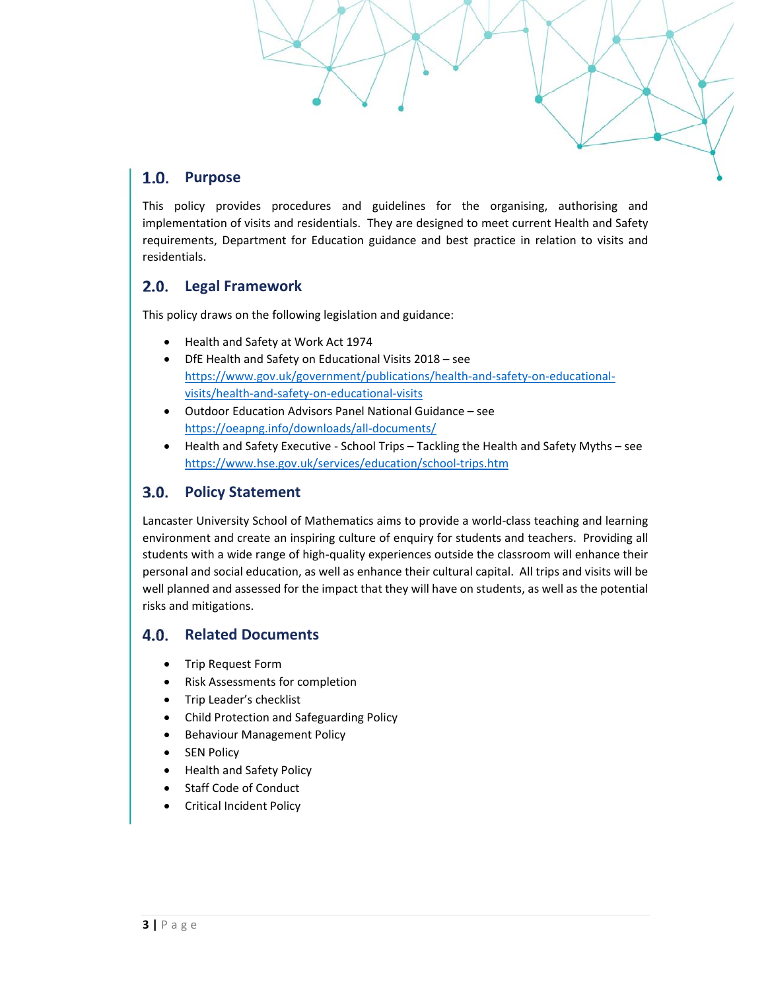# 1.0. Purpose

This policy provides procedures and guidelines for the organising, authorising and implementation of visits and residentials. They are designed to meet current Health and Safety requirements, Department for Education guidance and best practice in relation to visits and residentials.

#### **Legal Framework**   $2.0.$

This policy draws on the following legislation and guidance:

- Health and Safety at Work Act 1974
- DfE Health and Safety on Educational Visits 2018 see https://www.gov.uk/government/publications/health-and-safety-on-educationalvisits/health‐and‐safety‐on‐educational‐visits
- Outdoor Education Advisors Panel National Guidance see https://oeapng.info/downloads/all‐documents/
- Health and Safety Executive ‐ School Trips Tackling the Health and Safety Myths see https://www.hse.gov.uk/services/education/school‐trips.htm

#### **Policy Statement**   $3.0.$

Lancaster University School of Mathematics aims to provide a world‐class teaching and learning environment and create an inspiring culture of enquiry for students and teachers. Providing all students with a wide range of high-quality experiences outside the classroom will enhance their personal and social education, as well as enhance their cultural capital. All trips and visits will be well planned and assessed for the impact that they will have on students, as well as the potential risks and mitigations.

#### $4.0.$ **Related Documents**

- Trip Request Form
- Risk Assessments for completion
- Trip Leader's checklist
- Child Protection and Safeguarding Policy
- **•** Behaviour Management Policy
- SEN Policy
- Health and Safety Policy
- Staff Code of Conduct
- Critical Incident Policy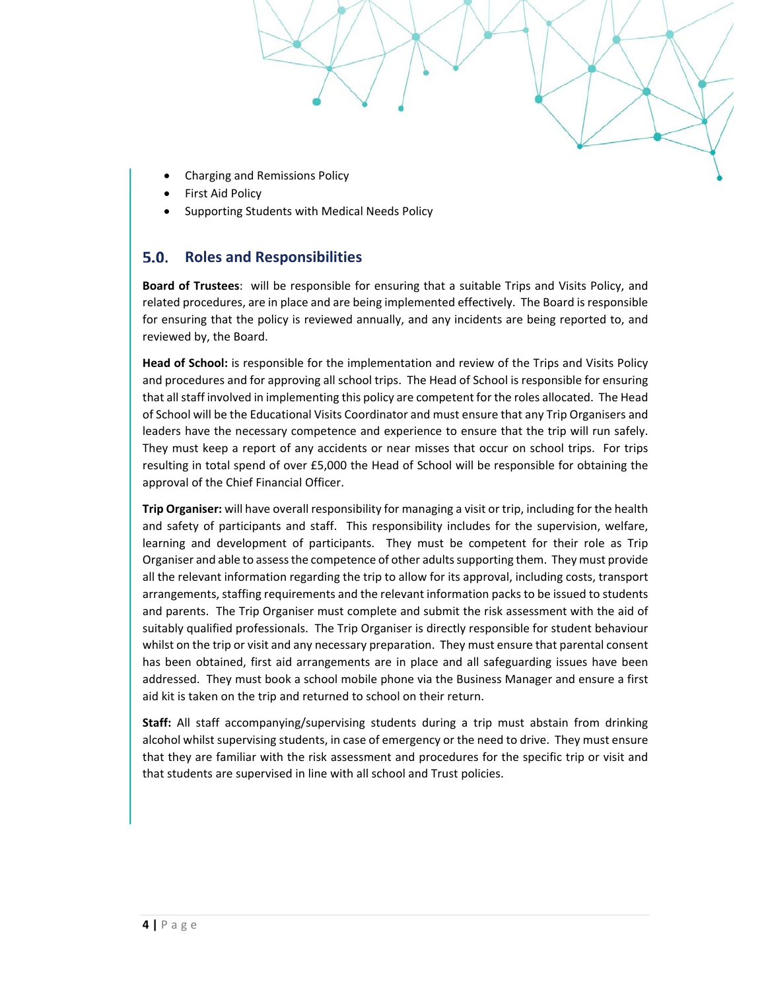- Charging and Remissions Policy
- First Aid Policy
- Supporting Students with Medical Needs Policy

#### 5.0. **Roles and Responsibilities**

**Board of Trustees**: will be responsible for ensuring that a suitable Trips and Visits Policy, and related procedures, are in place and are being implemented effectively. The Board is responsible for ensuring that the policy is reviewed annually, and any incidents are being reported to, and reviewed by, the Board.

**Head of School:** is responsible for the implementation and review of the Trips and Visits Policy and procedures and for approving all school trips. The Head of School is responsible for ensuring that all staff involved in implementing this policy are competent for the roles allocated. The Head of School will be the Educational Visits Coordinator and must ensure that any Trip Organisers and leaders have the necessary competence and experience to ensure that the trip will run safely. They must keep a report of any accidents or near misses that occur on school trips. For trips resulting in total spend of over £5,000 the Head of School will be responsible for obtaining the approval of the Chief Financial Officer.

**Trip Organiser:** will have overall responsibility for managing a visit or trip, including for the health and safety of participants and staff. This responsibility includes for the supervision, welfare, learning and development of participants. They must be competent for their role as Trip Organiser and able to assess the competence of other adults supporting them. They must provide all the relevant information regarding the trip to allow for its approval, including costs, transport arrangements, staffing requirements and the relevant information packs to be issued to students and parents. The Trip Organiser must complete and submit the risk assessment with the aid of suitably qualified professionals. The Trip Organiser is directly responsible for student behaviour whilst on the trip or visit and any necessary preparation. They must ensure that parental consent has been obtained, first aid arrangements are in place and all safeguarding issues have been addressed. They must book a school mobile phone via the Business Manager and ensure a first aid kit is taken on the trip and returned to school on their return.

**Staff:** All staff accompanying/supervising students during a trip must abstain from drinking alcohol whilst supervising students, in case of emergency or the need to drive. They must ensure that they are familiar with the risk assessment and procedures for the specific trip or visit and that students are supervised in line with all school and Trust policies.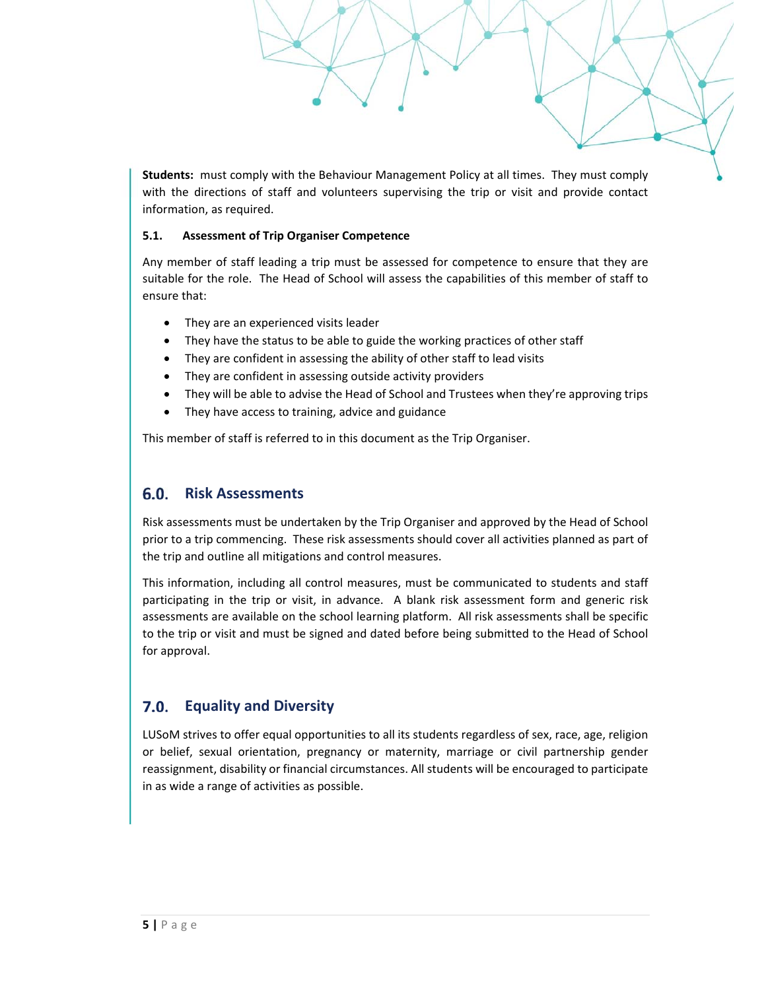**Students:** must comply with the Behaviour Management Policy at all times. They must comply with the directions of staff and volunteers supervising the trip or visit and provide contact information, as required.

#### **5.1. Assessment of Trip Organiser Competence**

Any member of staff leading a trip must be assessed for competence to ensure that they are suitable for the role. The Head of School will assess the capabilities of this member of staff to ensure that:

- They are an experienced visits leader
- They have the status to be able to guide the working practices of other staff
- They are confident in assessing the ability of other staff to lead visits
- They are confident in assessing outside activity providers
- They will be able to advise the Head of School and Trustees when they're approving trips
- They have access to training, advice and guidance

This member of staff is referred to in this document as the Trip Organiser.

#### 6.0. **Risk Assessments**

Risk assessments must be undertaken by the Trip Organiser and approved by the Head of School prior to a trip commencing. These risk assessments should cover all activities planned as part of the trip and outline all mitigations and control measures.

This information, including all control measures, must be communicated to students and staff participating in the trip or visit, in advance. A blank risk assessment form and generic risk assessments are available on the school learning platform. All risk assessments shall be specific to the trip or visit and must be signed and dated before being submitted to the Head of School for approval.

# **Equality and Diversity**

LUSoM strives to offer equal opportunities to all its students regardless of sex, race, age, religion or belief, sexual orientation, pregnancy or maternity, marriage or civil partnership gender reassignment, disability or financial circumstances. All students will be encouraged to participate in as wide a range of activities as possible.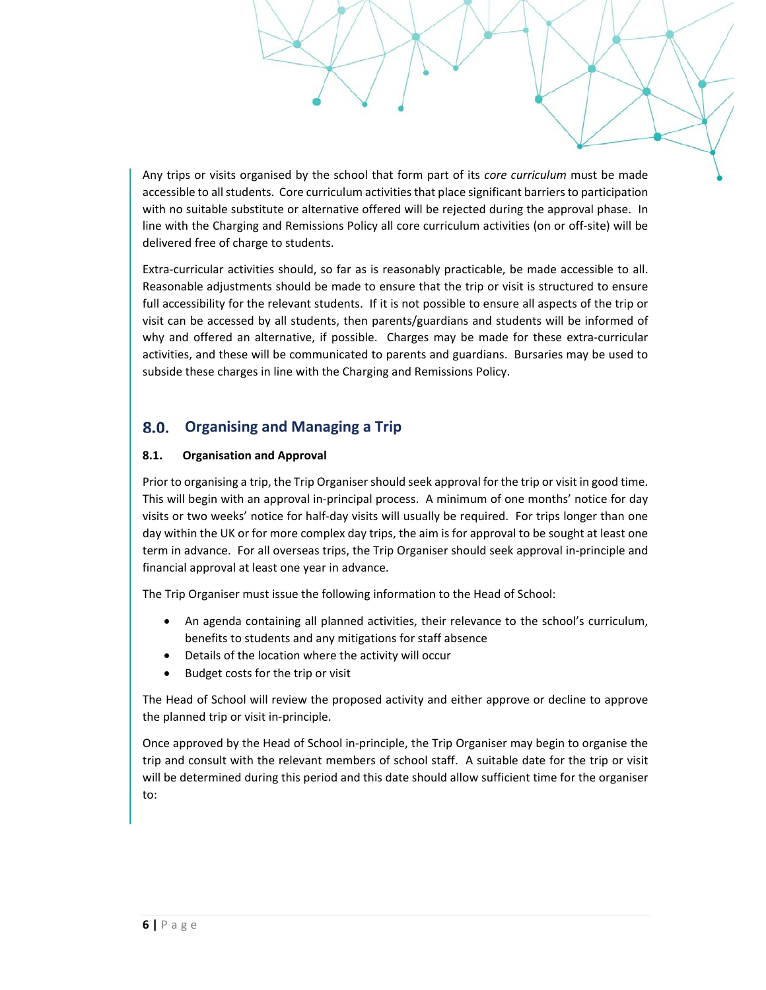Any trips or visits organised by the school that form part of its *core curriculum* must be made accessible to all students. Core curriculum activities that place significant barriers to participation with no suitable substitute or alternative offered will be rejected during the approval phase. In line with the Charging and Remissions Policy all core curriculum activities (on or off-site) will be delivered free of charge to students.

Extra-curricular activities should, so far as is reasonably practicable, be made accessible to all. Reasonable adjustments should be made to ensure that the trip or visit is structured to ensure full accessibility for the relevant students. If it is not possible to ensure all aspects of the trip or visit can be accessed by all students, then parents/guardians and students will be informed of why and offered an alternative, if possible. Charges may be made for these extra-curricular activities, and these will be communicated to parents and guardians. Bursaries may be used to subside these charges in line with the Charging and Remissions Policy.

#### 8.0. **Organising and Managing a Trip**

## **8.1. Organisation and Approval**

Prior to organising a trip, the Trip Organiser should seek approval for the trip or visit in good time. This will begin with an approval in‐principal process. A minimum of one months' notice for day visits or two weeks' notice for half‐day visits will usually be required. For trips longer than one day within the UK or for more complex day trips, the aim is for approval to be sought at least one term in advance. For all overseas trips, the Trip Organiser should seek approval in‐principle and financial approval at least one year in advance.

The Trip Organiser must issue the following information to the Head of School:

- An agenda containing all planned activities, their relevance to the school's curriculum, benefits to students and any mitigations for staff absence
- Details of the location where the activity will occur
- Budget costs for the trip or visit

The Head of School will review the proposed activity and either approve or decline to approve the planned trip or visit in‐principle.

Once approved by the Head of School in‐principle, the Trip Organiser may begin to organise the trip and consult with the relevant members of school staff. A suitable date for the trip or visit will be determined during this period and this date should allow sufficient time for the organiser to: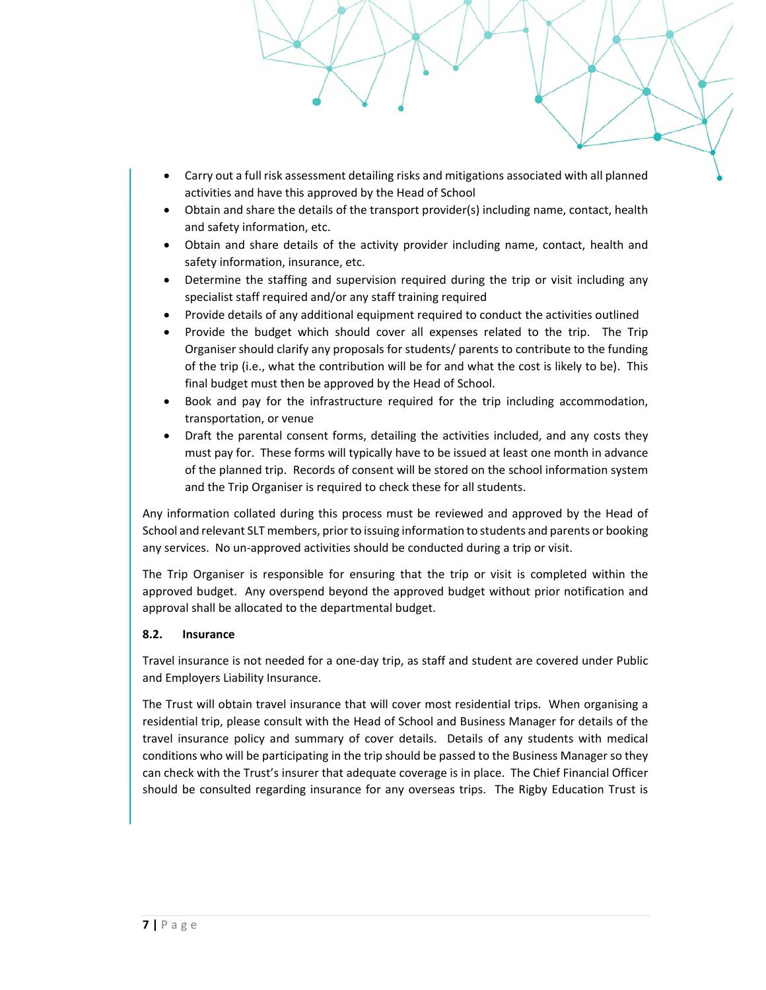- Carry out a full risk assessment detailing risks and mitigations associated with all planned activities and have this approved by the Head of School
- Obtain and share the details of the transport provider(s) including name, contact, health and safety information, etc.
- Obtain and share details of the activity provider including name, contact, health and safety information, insurance, etc.
- Determine the staffing and supervision required during the trip or visit including any specialist staff required and/or any staff training required
- Provide details of any additional equipment required to conduct the activities outlined
- Provide the budget which should cover all expenses related to the trip. The Trip Organiser should clarify any proposals for students/ parents to contribute to the funding of the trip (i.e., what the contribution will be for and what the cost is likely to be). This final budget must then be approved by the Head of School.
- Book and pay for the infrastructure required for the trip including accommodation, transportation, or venue
- Draft the parental consent forms, detailing the activities included, and any costs they must pay for. These forms will typically have to be issued at least one month in advance of the planned trip. Records of consent will be stored on the school information system and the Trip Organiser is required to check these for all students.

Any information collated during this process must be reviewed and approved by the Head of School and relevant SLT members, prior to issuing information to students and parents or booking any services. No un‐approved activities should be conducted during a trip or visit.

The Trip Organiser is responsible for ensuring that the trip or visit is completed within the approved budget. Any overspend beyond the approved budget without prior notification and approval shall be allocated to the departmental budget.

#### **8.2. Insurance**

Travel insurance is not needed for a one‐day trip, as staff and student are covered under Public and Employers Liability Insurance.

The Trust will obtain travel insurance that will cover most residential trips. When organising a residential trip, please consult with the Head of School and Business Manager for details of the travel insurance policy and summary of cover details. Details of any students with medical conditions who will be participating in the trip should be passed to the Business Manager so they can check with the Trust's insurer that adequate coverage is in place. The Chief Financial Officer should be consulted regarding insurance for any overseas trips. The Rigby Education Trust is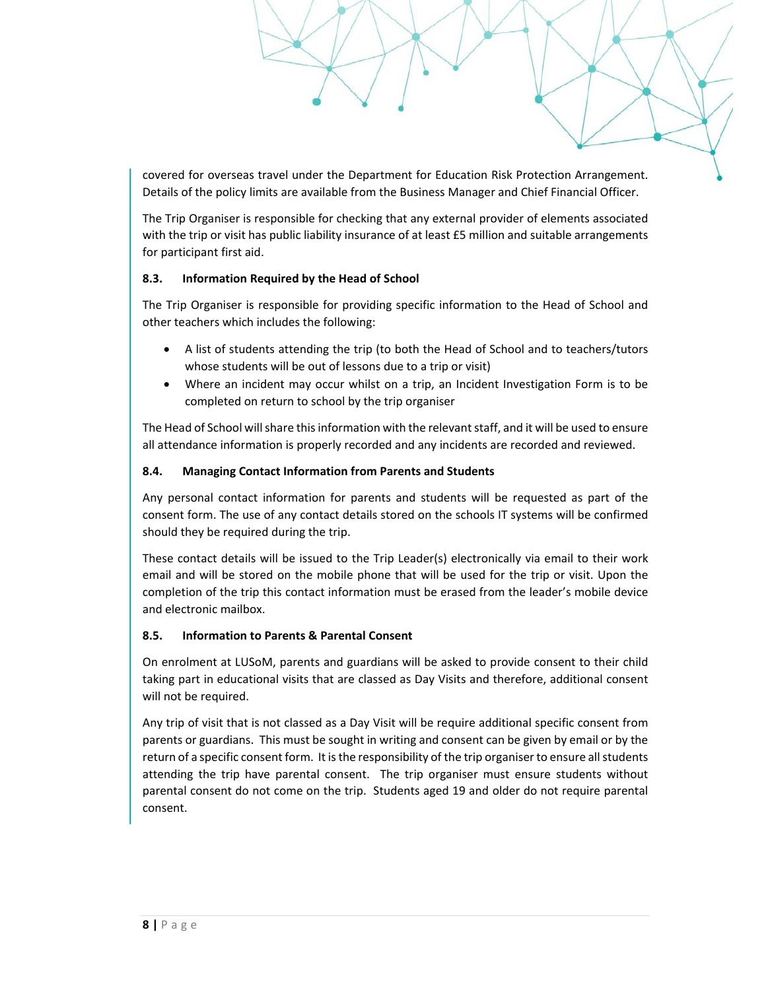covered for overseas travel under the Department for Education Risk Protection Arrangement. Details of the policy limits are available from the Business Manager and Chief Financial Officer.

The Trip Organiser is responsible for checking that any external provider of elements associated with the trip or visit has public liability insurance of at least £5 million and suitable arrangements for participant first aid.

#### **8.3. Information Required by the Head of School**

The Trip Organiser is responsible for providing specific information to the Head of School and other teachers which includes the following:

- A list of students attending the trip (to both the Head of School and to teachers/tutors whose students will be out of lessons due to a trip or visit)
- Where an incident may occur whilst on a trip, an Incident Investigation Form is to be completed on return to school by the trip organiser

The Head of School will share this information with the relevant staff, and it will be used to ensure all attendance information is properly recorded and any incidents are recorded and reviewed.

### **8.4. Managing Contact Information from Parents and Students**

Any personal contact information for parents and students will be requested as part of the consent form. The use of any contact details stored on the schools IT systems will be confirmed should they be required during the trip.

These contact details will be issued to the Trip Leader(s) electronically via email to their work email and will be stored on the mobile phone that will be used for the trip or visit. Upon the completion of the trip this contact information must be erased from the leader's mobile device and electronic mailbox.

#### **8.5. Information to Parents & Parental Consent**

On enrolment at LUSoM, parents and guardians will be asked to provide consent to their child taking part in educational visits that are classed as Day Visits and therefore, additional consent will not be required.

Any trip of visit that is not classed as a Day Visit will be require additional specific consent from parents or guardians. This must be sought in writing and consent can be given by email or by the return of a specific consent form. It is the responsibility of the trip organiser to ensure all students attending the trip have parental consent. The trip organiser must ensure students without parental consent do not come on the trip. Students aged 19 and older do not require parental consent.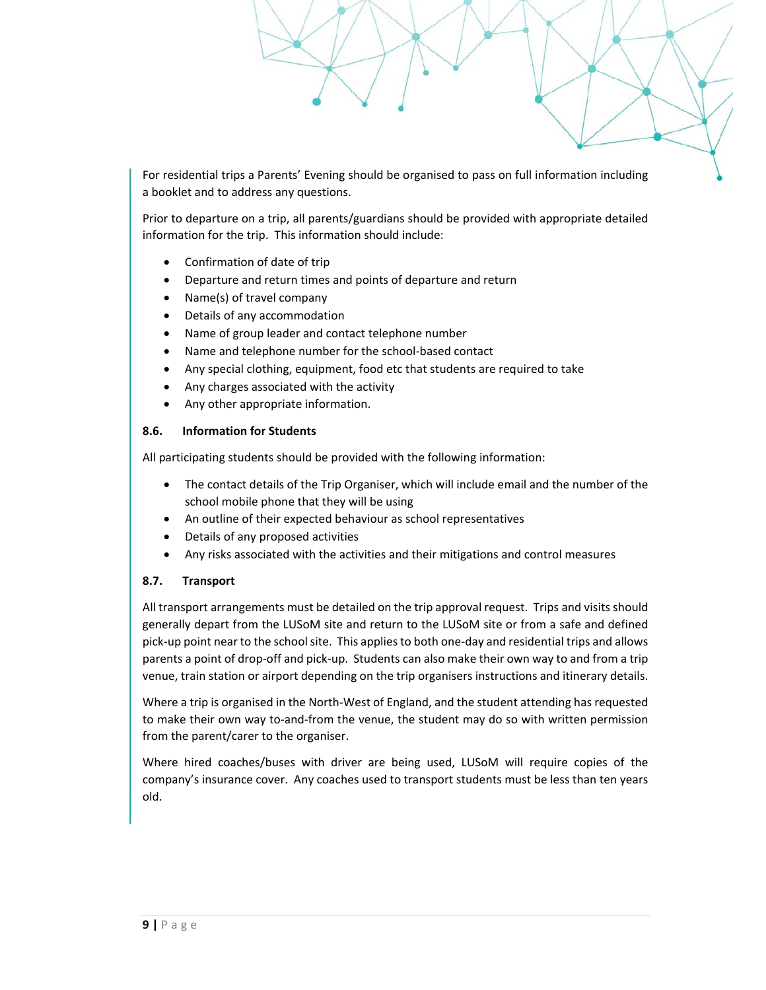For residential trips a Parents' Evening should be organised to pass on full information including a booklet and to address any questions.

Prior to departure on a trip, all parents/guardians should be provided with appropriate detailed information for the trip. This information should include:

- Confirmation of date of trip
- Departure and return times and points of departure and return
- Name(s) of travel company
- Details of any accommodation
- Name of group leader and contact telephone number
- Name and telephone number for the school‐based contact
- Any special clothing, equipment, food etc that students are required to take
- Any charges associated with the activity
- Any other appropriate information.

#### **8.6. Information for Students**

All participating students should be provided with the following information:

- The contact details of the Trip Organiser, which will include email and the number of the school mobile phone that they will be using
- An outline of their expected behaviour as school representatives
- Details of any proposed activities
- Any risks associated with the activities and their mitigations and control measures

#### **8.7. Transport**

All transport arrangements must be detailed on the trip approval request. Trips and visits should generally depart from the LUSoM site and return to the LUSoM site or from a safe and defined pick‐up point near to the school site. This applies to both one‐day and residential trips and allows parents a point of drop‐off and pick‐up. Students can also make their own way to and from a trip venue, train station or airport depending on the trip organisers instructions and itinerary details.

Where a trip is organised in the North‐West of England, and the student attending has requested to make their own way to-and-from the venue, the student may do so with written permission from the parent/carer to the organiser.

Where hired coaches/buses with driver are being used, LUSoM will require copies of the company's insurance cover. Any coaches used to transport students must be less than ten years old.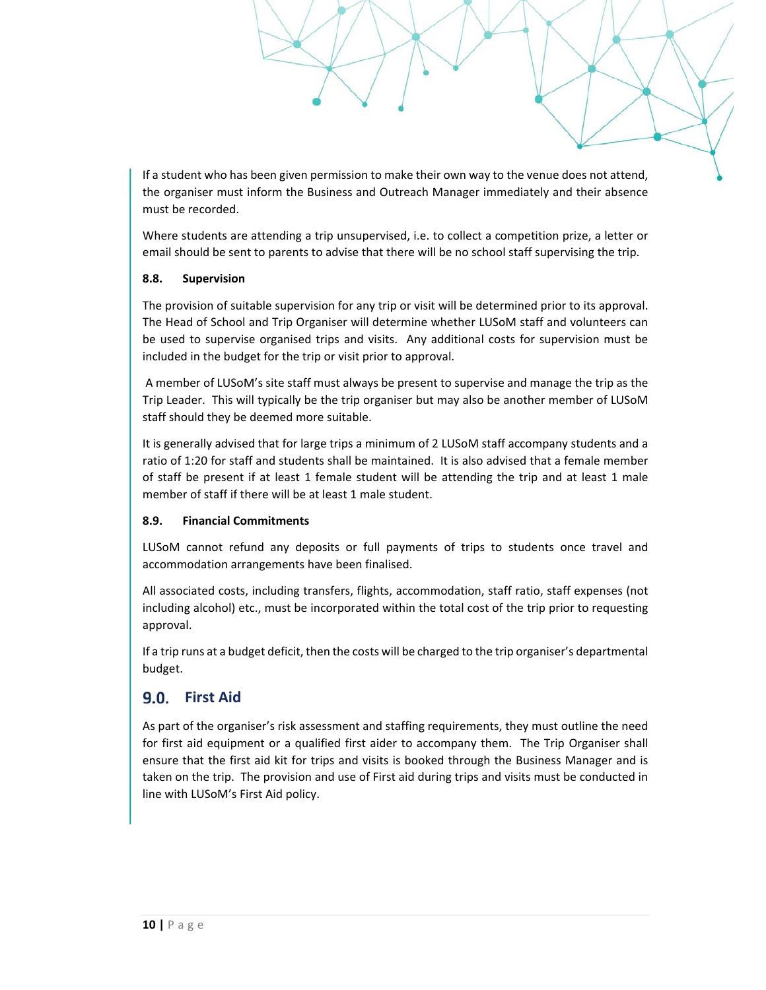If a student who has been given permission to make their own way to the venue does not attend, the organiser must inform the Business and Outreach Manager immediately and their absence must be recorded.

Where students are attending a trip unsupervised, i.e. to collect a competition prize, a letter or email should be sent to parents to advise that there will be no school staff supervising the trip.

#### **8.8. Supervision**

The provision of suitable supervision for any trip or visit will be determined prior to its approval. The Head of School and Trip Organiser will determine whether LUSoM staff and volunteers can be used to supervise organised trips and visits. Any additional costs for supervision must be included in the budget for the trip or visit prior to approval.

 A member of LUSoM's site staff must always be present to supervise and manage the trip as the Trip Leader. This will typically be the trip organiser but may also be another member of LUSoM staff should they be deemed more suitable.

It is generally advised that for large trips a minimum of 2 LUSoM staff accompany students and a ratio of 1:20 for staff and students shall be maintained. It is also advised that a female member of staff be present if at least 1 female student will be attending the trip and at least 1 male member of staff if there will be at least 1 male student.

#### **8.9. Financial Commitments**

LUSoM cannot refund any deposits or full payments of trips to students once travel and accommodation arrangements have been finalised.

All associated costs, including transfers, flights, accommodation, staff ratio, staff expenses (not including alcohol) etc., must be incorporated within the total cost of the trip prior to requesting approval.

If a trip runs at a budget deficit, then the costs will be charged to the trip organiser's departmental budget.

## **9.0.** First Aid

As part of the organiser's risk assessment and staffing requirements, they must outline the need for first aid equipment or a qualified first aider to accompany them. The Trip Organiser shall ensure that the first aid kit for trips and visits is booked through the Business Manager and is taken on the trip. The provision and use of First aid during trips and visits must be conducted in line with LUSoM's First Aid policy.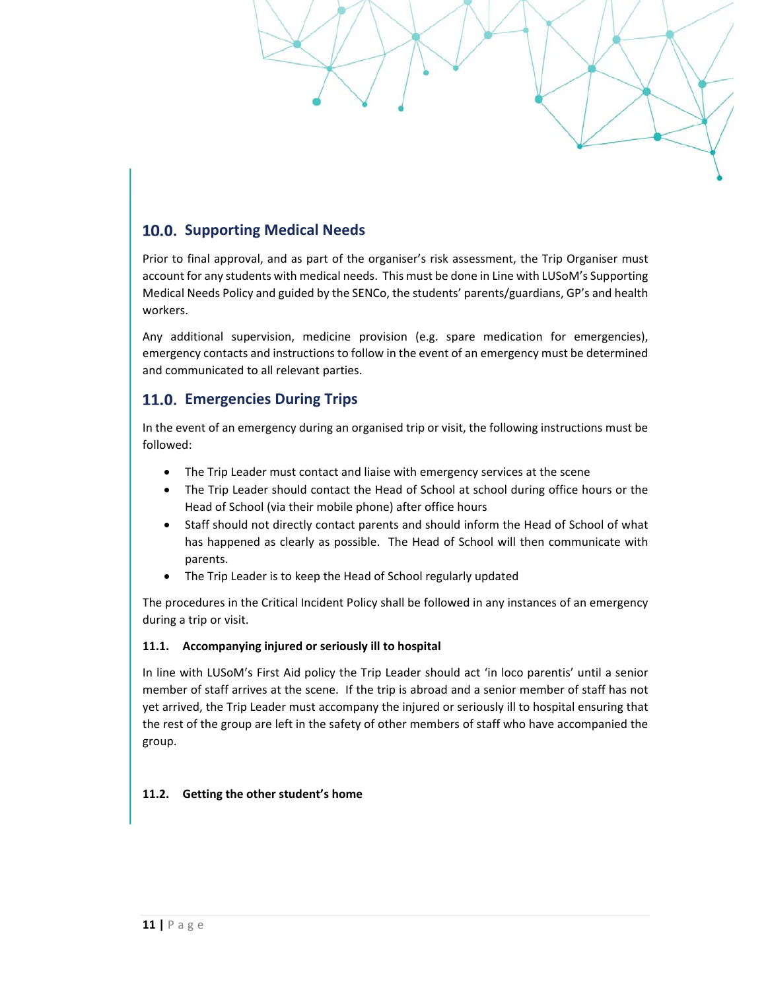

Prior to final approval, and as part of the organiser's risk assessment, the Trip Organiser must account for any students with medical needs. This must be done in Line with LUSoM's Supporting Medical Needs Policy and guided by the SENCo, the students' parents/guardians, GP's and health workers.

Any additional supervision, medicine provision (e.g. spare medication for emergencies), emergency contacts and instructions to follow in the event of an emergency must be determined and communicated to all relevant parties.

# **11.0. Emergencies During Trips**

In the event of an emergency during an organised trip or visit, the following instructions must be followed:

- The Trip Leader must contact and liaise with emergency services at the scene
- The Trip Leader should contact the Head of School at school during office hours or the Head of School (via their mobile phone) after office hours
- Staff should not directly contact parents and should inform the Head of School of what has happened as clearly as possible. The Head of School will then communicate with parents.
- The Trip Leader is to keep the Head of School regularly updated

The procedures in the Critical Incident Policy shall be followed in any instances of an emergency during a trip or visit.

## **11.1. Accompanying injured or seriously ill to hospital**

In line with LUSoM's First Aid policy the Trip Leader should act 'in loco parentis' until a senior member of staff arrives at the scene. If the trip is abroad and a senior member of staff has not yet arrived, the Trip Leader must accompany the injured or seriously ill to hospital ensuring that the rest of the group are left in the safety of other members of staff who have accompanied the group.

## **11.2. Getting the other student's home**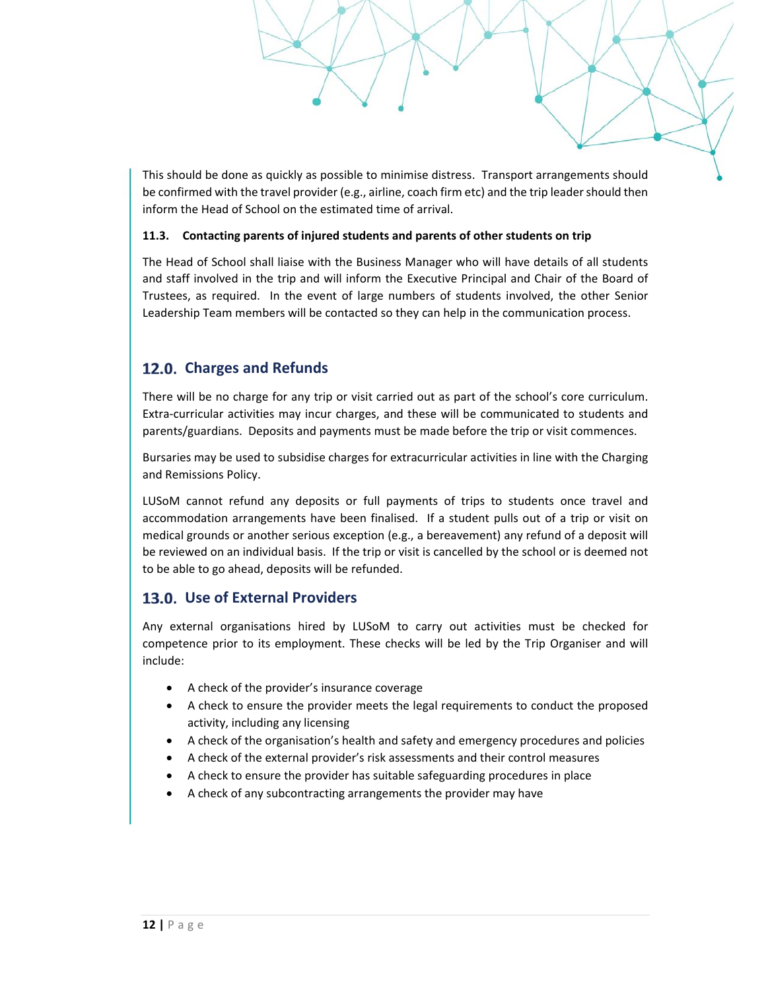This should be done as quickly as possible to minimise distress. Transport arrangements should be confirmed with the travel provider (e.g., airline, coach firm etc) and the trip leader should then inform the Head of School on the estimated time of arrival.

#### **11.3. Contacting parents of injured students and parents of other students on trip**

The Head of School shall liaise with the Business Manager who will have details of all students and staff involved in the trip and will inform the Executive Principal and Chair of the Board of Trustees, as required. In the event of large numbers of students involved, the other Senior Leadership Team members will be contacted so they can help in the communication process.

# **Charges and Refunds**

There will be no charge for any trip or visit carried out as part of the school's core curriculum. Extra‐curricular activities may incur charges, and these will be communicated to students and parents/guardians. Deposits and payments must be made before the trip or visit commences.

Bursaries may be used to subsidise charges for extracurricular activities in line with the Charging and Remissions Policy.

LUSoM cannot refund any deposits or full payments of trips to students once travel and accommodation arrangements have been finalised. If a student pulls out of a trip or visit on medical grounds or another serious exception (e.g., a bereavement) any refund of a deposit will be reviewed on an individual basis. If the trip or visit is cancelled by the school or is deemed not to be able to go ahead, deposits will be refunded.

# **Use of External Providers**

Any external organisations hired by LUSoM to carry out activities must be checked for competence prior to its employment. These checks will be led by the Trip Organiser and will include:

- A check of the provider's insurance coverage
- A check to ensure the provider meets the legal requirements to conduct the proposed activity, including any licensing
- A check of the organisation's health and safety and emergency procedures and policies
- A check of the external provider's risk assessments and their control measures
- A check to ensure the provider has suitable safeguarding procedures in place
- A check of any subcontracting arrangements the provider may have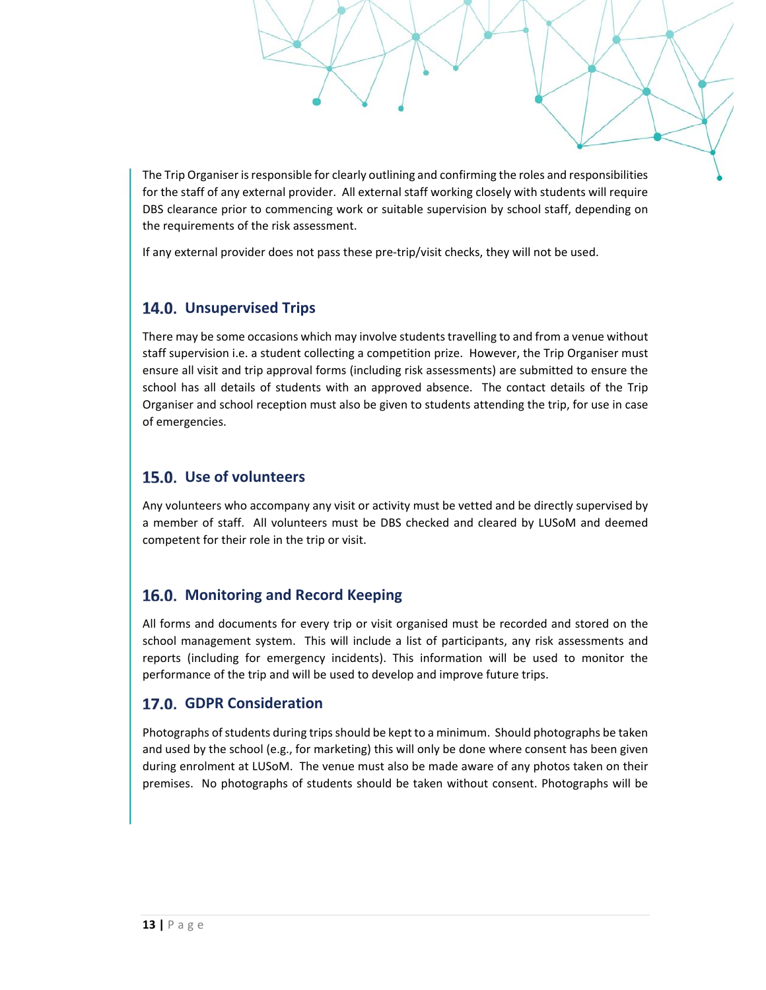The Trip Organiser is responsible for clearly outlining and confirming the roles and responsibilities for the staff of any external provider. All external staff working closely with students will require DBS clearance prior to commencing work or suitable supervision by school staff, depending on the requirements of the risk assessment.

If any external provider does not pass these pre-trip/visit checks, they will not be used.

# **Unsupervised Trips**

There may be some occasions which may involve students travelling to and from a venue without staff supervision i.e. a student collecting a competition prize. However, the Trip Organiser must ensure all visit and trip approval forms (including risk assessments) are submitted to ensure the school has all details of students with an approved absence. The contact details of the Trip Organiser and school reception must also be given to students attending the trip, for use in case of emergencies.

# **Use of volunteers**

Any volunteers who accompany any visit or activity must be vetted and be directly supervised by a member of staff. All volunteers must be DBS checked and cleared by LUSoM and deemed competent for their role in the trip or visit.

# 16.0. Monitoring and Record Keeping

All forms and documents for every trip or visit organised must be recorded and stored on the school management system. This will include a list of participants, any risk assessments and reports (including for emergency incidents). This information will be used to monitor the performance of the trip and will be used to develop and improve future trips.

# **GDPR Consideration**

Photographs of students during trips should be kept to a minimum. Should photographs be taken and used by the school (e.g., for marketing) this will only be done where consent has been given during enrolment at LUSoM. The venue must also be made aware of any photos taken on their premises. No photographs of students should be taken without consent. Photographs will be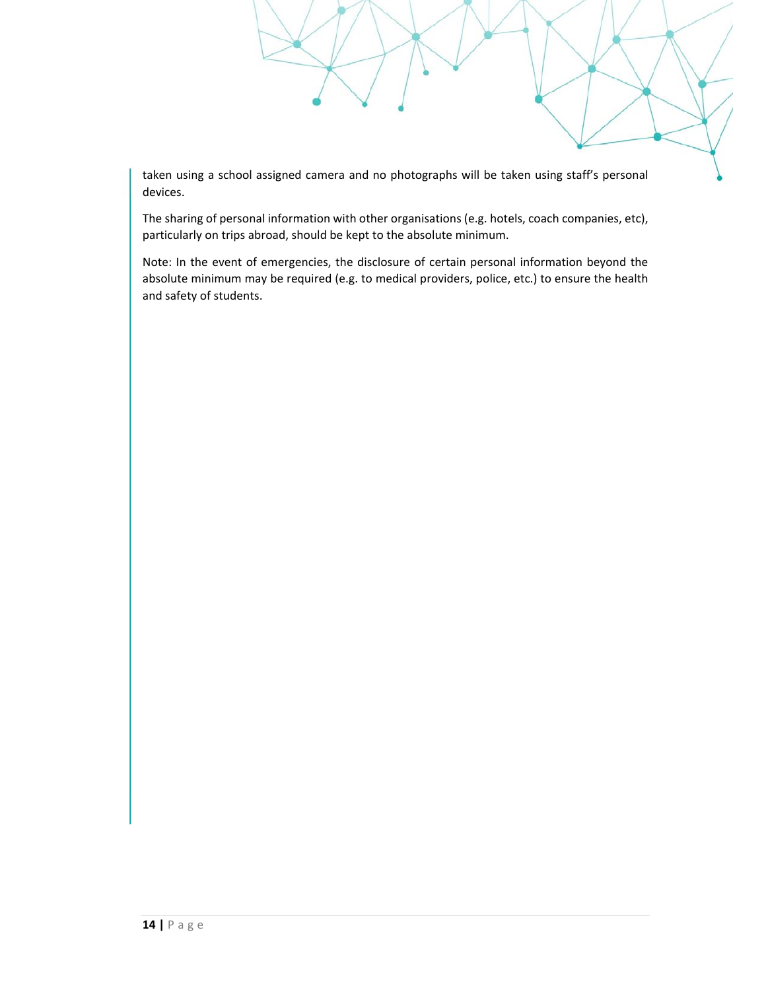taken using a school assigned camera and no photographs will be taken using staff's personal devices.

The sharing of personal information with other organisations (e.g. hotels, coach companies, etc), particularly on trips abroad, should be kept to the absolute minimum.

Note: In the event of emergencies, the disclosure of certain personal information beyond the absolute minimum may be required (e.g. to medical providers, police, etc.) to ensure the health and safety of students.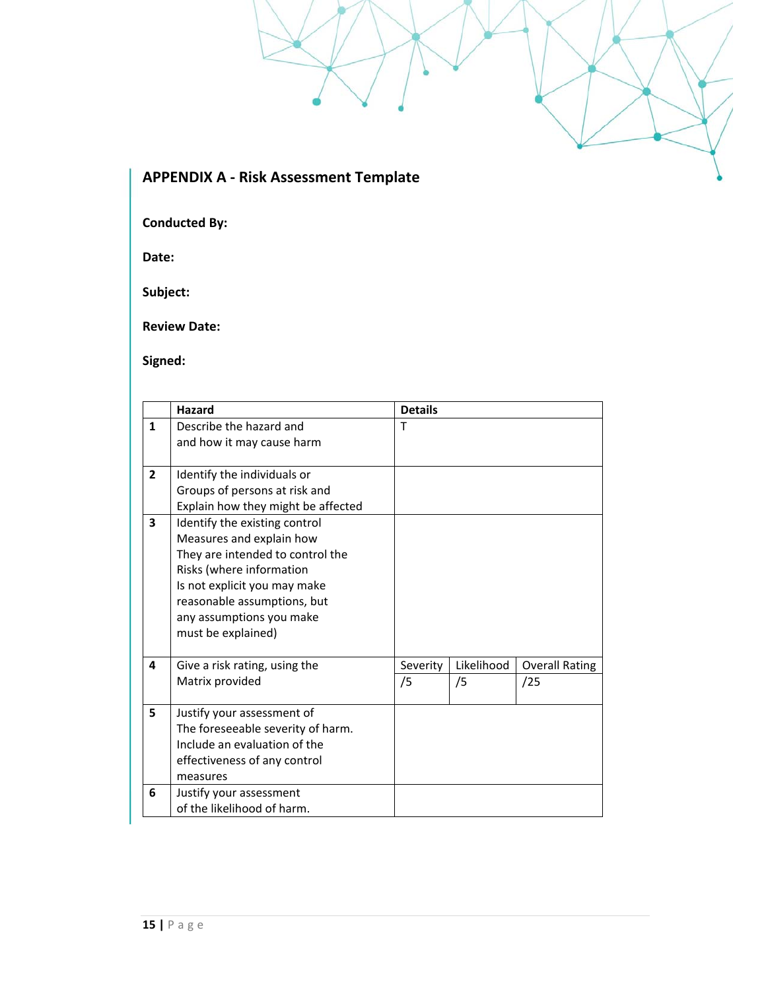# **APPENDIX A ‐ Risk Assessment Template**

**Conducted By:** 

**Date:** 

**Subject:** 

**Review Date:** 

**Signed:** 

|                                    | <b>Hazard</b>                     | <b>Details</b> |            |                       |
|------------------------------------|-----------------------------------|----------------|------------|-----------------------|
| 1                                  | Describe the hazard and           | $\mathsf{T}$   |            |                       |
|                                    | and how it may cause harm         |                |            |                       |
|                                    |                                   |                |            |                       |
| $\overline{2}$                     | Identify the individuals or       |                |            |                       |
|                                    | Groups of persons at risk and     |                |            |                       |
| Explain how they might be affected |                                   |                |            |                       |
| 3                                  | Identify the existing control     |                |            |                       |
|                                    | Measures and explain how          |                |            |                       |
|                                    | They are intended to control the  |                |            |                       |
|                                    | Risks (where information          |                |            |                       |
|                                    | Is not explicit you may make      |                |            |                       |
|                                    | reasonable assumptions, but       |                |            |                       |
|                                    | any assumptions you make          |                |            |                       |
|                                    | must be explained)                |                |            |                       |
|                                    |                                   |                |            |                       |
| 4                                  | Give a risk rating, using the     | Severity       | Likelihood | <b>Overall Rating</b> |
|                                    | Matrix provided                   | /5             | /5         | /25                   |
|                                    |                                   |                |            |                       |
| 5                                  | Justify your assessment of        |                |            |                       |
|                                    | The foreseeable severity of harm. |                |            |                       |
|                                    | Include an evaluation of the      |                |            |                       |
|                                    | effectiveness of any control      |                |            |                       |
|                                    | measures                          |                |            |                       |
| 6                                  | Justify your assessment           |                |            |                       |
|                                    | of the likelihood of harm.        |                |            |                       |